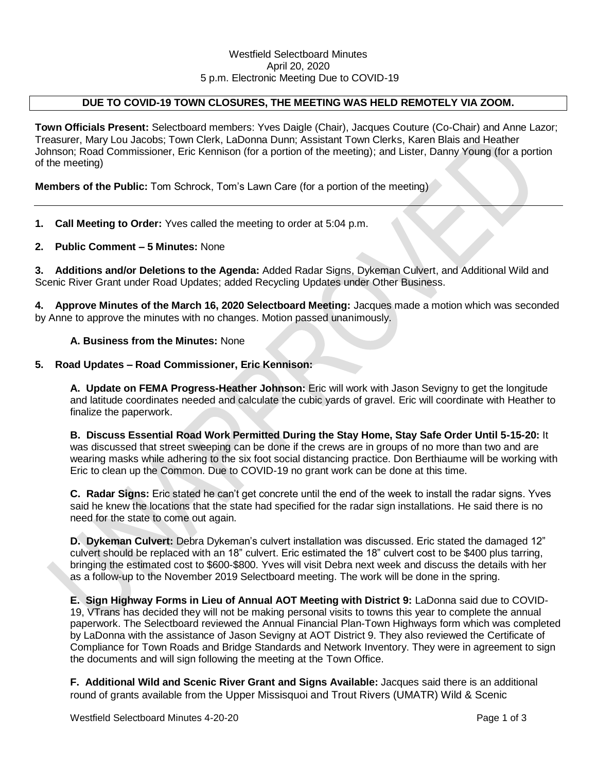#### Westfield Selectboard Minutes April 20, 2020 5 p.m. Electronic Meeting Due to COVID-19

## **DUE TO COVID-19 TOWN CLOSURES, THE MEETING WAS HELD REMOTELY VIA ZOOM.**

**Town Officials Present:** Selectboard members: Yves Daigle (Chair), Jacques Couture (Co-Chair) and Anne Lazor; Treasurer, Mary Lou Jacobs; Town Clerk, LaDonna Dunn; Assistant Town Clerks, Karen Blais and Heather Johnson; Road Commissioner, Eric Kennison (for a portion of the meeting); and Lister, Danny Young (for a portion of the meeting)

**Members of the Public:** Tom Schrock, Tom's Lawn Care (for a portion of the meeting)

**1. Call Meeting to Order:** Yves called the meeting to order at 5:04 p.m.

**2. Public Comment – 5 Minutes:** None

**3. Additions and/or Deletions to the Agenda:** Added Radar Signs, Dykeman Culvert, and Additional Wild and Scenic River Grant under Road Updates; added Recycling Updates under Other Business.

**4. Approve Minutes of the March 16, 2020 Selectboard Meeting:** Jacques made a motion which was seconded by Anne to approve the minutes with no changes. Motion passed unanimously.

#### **A. Business from the Minutes:** None

#### **5. Road Updates – Road Commissioner, Eric Kennison:**

**A. Update on FEMA Progress-Heather Johnson:** Eric will work with Jason Sevigny to get the longitude and latitude coordinates needed and calculate the cubic yards of gravel. Eric will coordinate with Heather to finalize the paperwork.

**B. Discuss Essential Road Work Permitted During the Stay Home, Stay Safe Order Until 5-15-20:** It was discussed that street sweeping can be done if the crews are in groups of no more than two and are wearing masks while adhering to the six foot social distancing practice. Don Berthiaume will be working with Eric to clean up the Common. Due to COVID-19 no grant work can be done at this time.

**C. Radar Signs:** Eric stated he can't get concrete until the end of the week to install the radar signs. Yves said he knew the locations that the state had specified for the radar sign installations. He said there is no need for the state to come out again.

**D. Dykeman Culvert:** Debra Dykeman's culvert installation was discussed. Eric stated the damaged 12" culvert should be replaced with an 18" culvert. Eric estimated the 18" culvert cost to be \$400 plus tarring, bringing the estimated cost to \$600-\$800. Yves will visit Debra next week and discuss the details with her as a follow-up to the November 2019 Selectboard meeting. The work will be done in the spring.

**E. Sign Highway Forms in Lieu of Annual AOT Meeting with District 9:** LaDonna said due to COVID-19, VTrans has decided they will not be making personal visits to towns this year to complete the annual paperwork. The Selectboard reviewed the Annual Financial Plan-Town Highways form which was completed by LaDonna with the assistance of Jason Sevigny at AOT District 9. They also reviewed the Certificate of Compliance for Town Roads and Bridge Standards and Network Inventory. They were in agreement to sign the documents and will sign following the meeting at the Town Office.

**F. Additional Wild and Scenic River Grant and Signs Available:** Jacques said there is an additional round of grants available from the Upper Missisquoi and Trout Rivers (UMATR) Wild & Scenic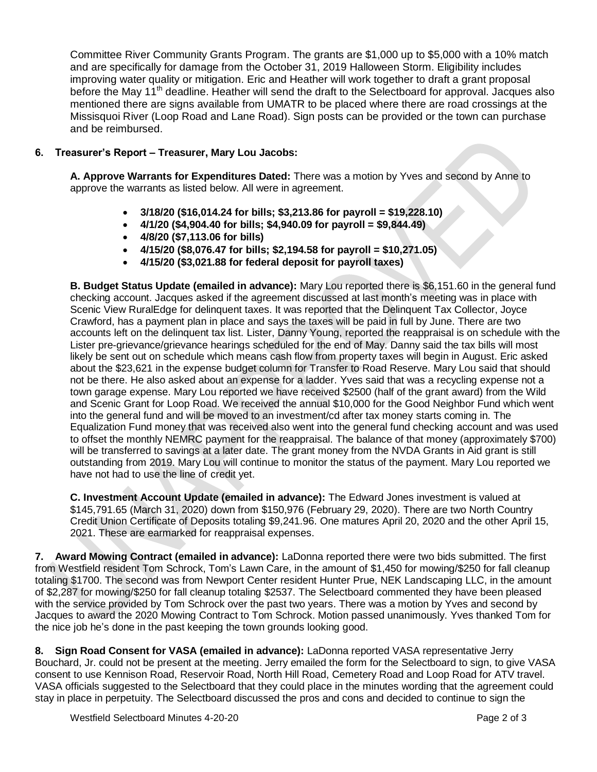Committee River Community Grants Program. The grants are \$1,000 up to \$5,000 with a 10% match and are specifically for damage from the October 31, 2019 Halloween Storm. Eligibility includes improving water quality or mitigation. Eric and Heather will work together to draft a grant proposal before the May 11<sup>th</sup> deadline. Heather will send the draft to the Selectboard for approval. Jacques also mentioned there are signs available from UMATR to be placed where there are road crossings at the Missisquoi River (Loop Road and Lane Road). Sign posts can be provided or the town can purchase and be reimbursed.

# **6. Treasurer's Report – Treasurer, Mary Lou Jacobs:**

**A. Approve Warrants for Expenditures Dated:** There was a motion by Yves and second by Anne to approve the warrants as listed below. All were in agreement.

- **3/18/20 (\$16,014.24 for bills; \$3,213.86 for payroll = \$19,228.10)**
- **4/1/20 (\$4,904.40 for bills; \$4,940.09 for payroll = \$9,844.49)**
- **4/8/20 (\$7,113.06 for bills)**
- **4/15/20 (\$8,076.47 for bills; \$2,194.58 for payroll = \$10,271.05)**
- **4/15/20 (\$3,021.88 for federal deposit for payroll taxes)**

**B. Budget Status Update (emailed in advance):** Mary Lou reported there is \$6,151.60 in the general fund checking account. Jacques asked if the agreement discussed at last month's meeting was in place with Scenic View RuralEdge for delinquent taxes. It was reported that the Delinquent Tax Collector, Joyce Crawford, has a payment plan in place and says the taxes will be paid in full by June. There are two accounts left on the delinquent tax list. Lister, Danny Young, reported the reappraisal is on schedule with the Lister pre-grievance/grievance hearings scheduled for the end of May. Danny said the tax bills will most likely be sent out on schedule which means cash flow from property taxes will begin in August. Eric asked about the \$23,621 in the expense budget column for Transfer to Road Reserve. Mary Lou said that should not be there. He also asked about an expense for a ladder. Yves said that was a recycling expense not a town garage expense. Mary Lou reported we have received \$2500 (half of the grant award) from the Wild and Scenic Grant for Loop Road. We received the annual \$10,000 for the Good Neighbor Fund which went into the general fund and will be moved to an investment/cd after tax money starts coming in. The Equalization Fund money that was received also went into the general fund checking account and was used to offset the monthly NEMRC payment for the reappraisal. The balance of that money (approximately \$700) will be transferred to savings at a later date. The grant money from the NVDA Grants in Aid grant is still outstanding from 2019. Mary Lou will continue to monitor the status of the payment. Mary Lou reported we have not had to use the line of credit yet.

**C. Investment Account Update (emailed in advance):** The Edward Jones investment is valued at \$145,791.65 (March 31, 2020) down from \$150,976 (February 29, 2020). There are two North Country Credit Union Certificate of Deposits totaling \$9,241.96. One matures April 20, 2020 and the other April 15, 2021. These are earmarked for reappraisal expenses.

**7. Award Mowing Contract (emailed in advance):** LaDonna reported there were two bids submitted. The first from Westfield resident Tom Schrock, Tom's Lawn Care, in the amount of \$1,450 for mowing/\$250 for fall cleanup totaling \$1700. The second was from Newport Center resident Hunter Prue, NEK Landscaping LLC, in the amount of \$2,287 for mowing/\$250 for fall cleanup totaling \$2537. The Selectboard commented they have been pleased with the service provided by Tom Schrock over the past two years. There was a motion by Yves and second by Jacques to award the 2020 Mowing Contract to Tom Schrock. Motion passed unanimously. Yves thanked Tom for the nice job he's done in the past keeping the town grounds looking good.

**8. Sign Road Consent for VASA (emailed in advance):** LaDonna reported VASA representative Jerry Bouchard, Jr. could not be present at the meeting. Jerry emailed the form for the Selectboard to sign, to give VASA consent to use Kennison Road, Reservoir Road, North Hill Road, Cemetery Road and Loop Road for ATV travel. VASA officials suggested to the Selectboard that they could place in the minutes wording that the agreement could stay in place in perpetuity. The Selectboard discussed the pros and cons and decided to continue to sign the